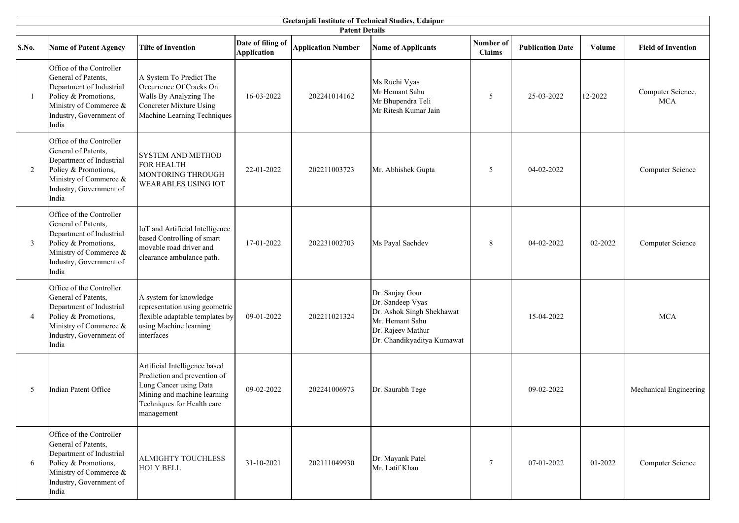| Geetanjali Institute of Technical Studies, Udaipur |                                                                                                                                                                   |                                                                                                                                                                    |                                         |                           |                                                                                                                                        |                     |                         |         |                                 |  |
|----------------------------------------------------|-------------------------------------------------------------------------------------------------------------------------------------------------------------------|--------------------------------------------------------------------------------------------------------------------------------------------------------------------|-----------------------------------------|---------------------------|----------------------------------------------------------------------------------------------------------------------------------------|---------------------|-------------------------|---------|---------------------------------|--|
|                                                    | <b>Patent Details</b>                                                                                                                                             |                                                                                                                                                                    |                                         |                           |                                                                                                                                        |                     |                         |         |                                 |  |
| S.No.                                              | <b>Name of Patent Agency</b>                                                                                                                                      | <b>Tilte of Invention</b>                                                                                                                                          | Date of filing of<br><b>Application</b> | <b>Application Number</b> | <b>Name of Applicants</b>                                                                                                              | Number of<br>Claims | <b>Publication Date</b> | Volume  | <b>Field of Invention</b>       |  |
| -1                                                 | Office of the Controller<br>General of Patents,<br>Department of Industrial<br>Policy & Promotions,<br>Ministry of Commerce &<br>Industry, Government of<br>India | A System To Predict The<br>Occurrence Of Cracks On<br>Walls By Analyzing The<br><b>Concreter Mixture Using</b><br>Machine Learning Techniques                      | 16-03-2022                              | 202241014162              | Ms Ruchi Vyas<br>Mr Hemant Sahu<br>Mr Bhupendra Teli<br>Mr Ritesh Kumar Jain                                                           | 5                   | 25-03-2022              | 12-2022 | Computer Science,<br><b>MCA</b> |  |
| 2                                                  | Office of the Controller<br>General of Patents,<br>Department of Industrial<br>Policy & Promotions,<br>Ministry of Commerce &<br>Industry, Government of<br>India | <b>SYSTEM AND METHOD</b><br>FOR HEALTH<br>MONTORING THROUGH<br><b>WEARABLES USING IOT</b>                                                                          | 22-01-2022                              | 202211003723              | Mr. Abhishek Gupta                                                                                                                     | 5                   | 04-02-2022              |         | Computer Science                |  |
| $\mathfrak{Z}$                                     | Office of the Controller<br>General of Patents,<br>Department of Industrial<br>Policy & Promotions,<br>Ministry of Commerce &<br>Industry, Government of<br>India | IoT and Artificial Intelligence<br>based Controlling of smart<br>movable road driver and<br>clearance ambulance path.                                              | 17-01-2022                              | 202231002703              | Ms Payal Sachdev                                                                                                                       | 8                   | 04-02-2022              | 02-2022 | Computer Science                |  |
| 4                                                  | Office of the Controller<br>General of Patents,<br>Department of Industrial<br>Policy & Promotions,<br>Ministry of Commerce &<br>Industry, Government of<br>India | A system for knowledge<br>representation using geometric<br>flexible adaptable templates by<br>using Machine learning<br>interfaces                                | 09-01-2022                              | 202211021324              | Dr. Sanjay Gour<br>Dr. Sandeep Vyas<br>Dr. Ashok Singh Shekhawat<br>Mr. Hemant Sahu<br>Dr. Rajeev Mathur<br>Dr. Chandikyaditya Kumawat |                     | 15-04-2022              |         | <b>MCA</b>                      |  |
| 5                                                  | <b>Indian Patent Office</b>                                                                                                                                       | Artificial Intelligence based<br>Prediction and prevention of<br>Lung Cancer using Data<br>Mining and machine learning<br>Techniques for Health care<br>management | 09-02-2022                              | 202241006973              | Dr. Saurabh Tege                                                                                                                       |                     | 09-02-2022              |         | Mechanical Engineering          |  |
| 6                                                  | Office of the Controller<br>General of Patents,<br>Department of Industrial<br>Policy & Promotions,<br>Ministry of Commerce &<br>Industry, Government of<br>India | <b>ALMIGHTY TOUCHLESS</b><br><b>HOLY BELL</b>                                                                                                                      | 31-10-2021                              | 202111049930              | Dr. Mayank Patel<br>Mr. Latif Khan                                                                                                     | $\tau$              | 07-01-2022              | 01-2022 | Computer Science                |  |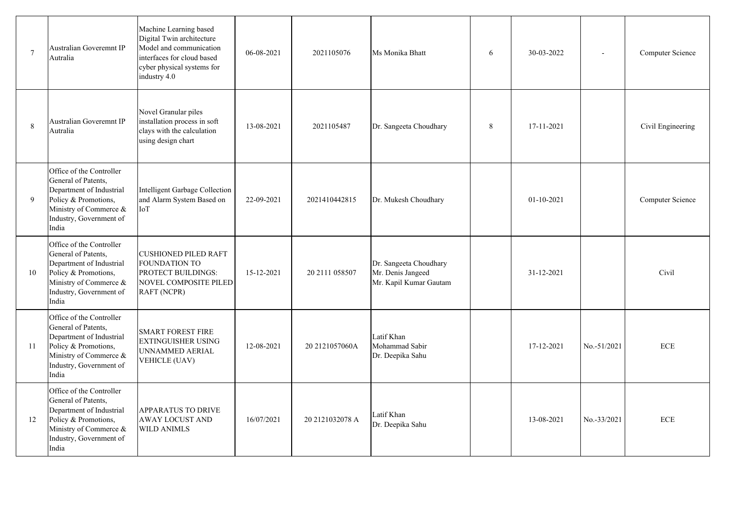| $7\phantom{.0}$ | <b>Australian Goveremnt IP</b><br>Autralia                                                                                                                        | Machine Learning based<br>Digital Twin architecture<br>Model and communication<br>interfaces for cloud based<br>cyber physical systems for<br>industry 4.0 | 06-08-2021 | 2021105076      | Ms Monika Bhatt                                                       | 6 | 30-03-2022   |             | Computer Science  |
|-----------------|-------------------------------------------------------------------------------------------------------------------------------------------------------------------|------------------------------------------------------------------------------------------------------------------------------------------------------------|------------|-----------------|-----------------------------------------------------------------------|---|--------------|-------------|-------------------|
| 8               | <b>Australian Goveremnt IP</b><br>Autralia                                                                                                                        | Novel Granular piles<br>installation process in soft<br>clays with the calculation<br>using design chart                                                   | 13-08-2021 | 2021105487      | Dr. Sangeeta Choudhary                                                | 8 | 17-11-2021   |             | Civil Engineering |
| 9               | Office of the Controller<br>General of Patents,<br>Department of Industrial<br>Policy & Promotions,<br>Ministry of Commerce &<br>Industry, Government of<br>India | Intelligent Garbage Collection<br>and Alarm System Based on<br>IoT                                                                                         | 22-09-2021 | 2021410442815   | Dr. Mukesh Choudhary                                                  |   | $01-10-2021$ |             | Computer Science  |
| 10              | Office of the Controller<br>General of Patents,<br>Department of Industrial<br>Policy & Promotions,<br>Ministry of Commerce &<br>Industry, Government of<br>India | <b>CUSHIONED PILED RAFT</b><br>FOUNDATION TO<br><b>PROTECT BUILDINGS:</b><br>NOVEL COMPOSITE PILED<br>RAFT (NCPR)                                          | 15-12-2021 | 20 2111 058507  | Dr. Sangeeta Choudhary<br>Mr. Denis Jangeed<br>Mr. Kapil Kumar Gautam |   | 31-12-2021   |             | Civil             |
| 11              | Office of the Controller<br>General of Patents,<br>Department of Industrial<br>Policy & Promotions,<br>Ministry of Commerce &<br>Industry, Government of<br>India | <b>SMART FOREST FIRE</b><br><b>EXTINGUISHER USING</b><br>UNNAMMED AERIAL<br><b>VEHICLE (UAV)</b>                                                           | 12-08-2021 | 20 2121057060A  | Latif Khan<br>Mohammad Sabir<br>Dr. Deepika Sahu                      |   | 17-12-2021   | No.-51/2021 | <b>ECE</b>        |
| 12              | Office of the Controller<br>General of Patents,<br>Department of Industrial<br>Policy & Promotions,<br>Ministry of Commerce &<br>Industry, Government of<br>India | <b>APPARATUS TO DRIVE</b><br><b>AWAY LOCUST AND</b><br><b>WILD ANIMLS</b>                                                                                  | 16/07/2021 | 20 2121032078 A | Latif Khan<br>Dr. Deepika Sahu                                        |   | 13-08-2021   | No.-33/2021 | <b>ECE</b>        |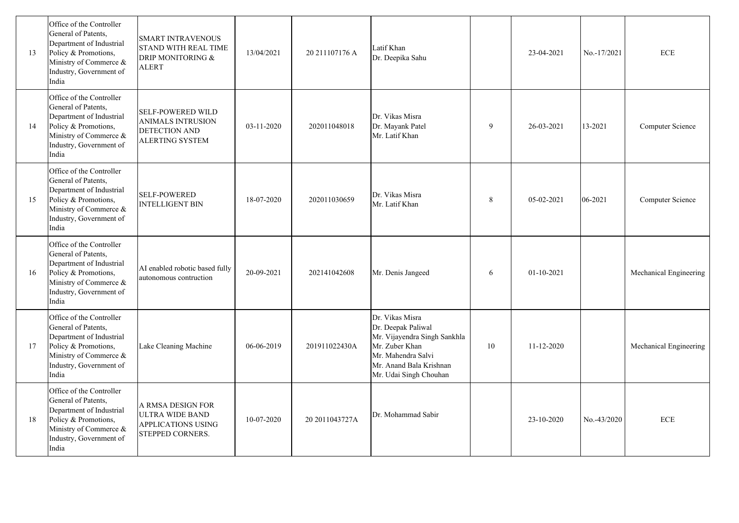| 13 | Office of the Controller<br>General of Patents,<br>Department of Industrial<br>Policy & Promotions,<br>Ministry of Commerce &<br>Industry, Government of<br>India | <b>SMART INTRAVENOUS</b><br><b>STAND WITH REAL TIME</b><br>DRIP MONITORING &<br><b>ALERT</b>    | 13/04/2021 | 20 211107176 A | Latif Khan<br>Dr. Deepika Sahu                                                                                                                                     |    | 23-04-2021   | No.-17/2021 | ${\rm ECE}$            |
|----|-------------------------------------------------------------------------------------------------------------------------------------------------------------------|-------------------------------------------------------------------------------------------------|------------|----------------|--------------------------------------------------------------------------------------------------------------------------------------------------------------------|----|--------------|-------------|------------------------|
| 14 | Office of the Controller<br>General of Patents,<br>Department of Industrial<br>Policy & Promotions,<br>Ministry of Commerce &<br>Industry, Government of<br>India | <b>SELF-POWERED WILD</b><br><b>ANIMALS INTRUSION</b><br>DETECTION AND<br><b>ALERTING SYSTEM</b> | 03-11-2020 | 202011048018   | Dr. Vikas Misra<br>Dr. Mayank Patel<br>Mr. Latif Khan                                                                                                              | 9  | 26-03-2021   | 13-2021     | Computer Science       |
| 15 | Office of the Controller<br>General of Patents,<br>Department of Industrial<br>Policy & Promotions,<br>Ministry of Commerce &<br>Industry, Government of<br>India | <b>SELF-POWERED</b><br><b>INTELLIGENT BIN</b>                                                   | 18-07-2020 | 202011030659   | Dr. Vikas Misra<br>Mr. Latif Khan                                                                                                                                  | 8  | 05-02-2021   | 06-2021     | Computer Science       |
| 16 | Office of the Controller<br>General of Patents,<br>Department of Industrial<br>Policy & Promotions,<br>Ministry of Commerce &<br>Industry, Government of<br>India | AI enabled robotic based fully<br>autonomous contruction                                        | 20-09-2021 | 202141042608   | Mr. Denis Jangeed                                                                                                                                                  | 6  | $01-10-2021$ |             | Mechanical Engineering |
| 17 | Office of the Controller<br>General of Patents,<br>Department of Industrial<br>Policy & Promotions,<br>Ministry of Commerce &<br>Industry, Government of<br>India | Lake Cleaning Machine                                                                           | 06-06-2019 | 201911022430A  | Dr. Vikas Misra<br>Dr. Deepak Paliwal<br>Mr. Vijayendra Singh Sankhla<br>Mr. Zuber Khan<br>Mr. Mahendra Salvi<br>Mr. Anand Bala Krishnan<br>Mr. Udai Singh Chouhan | 10 | 11-12-2020   |             | Mechanical Engineering |
| 18 | Office of the Controller<br>General of Patents,<br>Department of Industrial<br>Policy & Promotions,<br>Ministry of Commerce &<br>Industry, Government of<br>India | A RMSA DESIGN FOR<br><b>ULTRA WIDE BAND</b><br><b>APPLICATIONS USING</b><br>STEPPED CORNERS.    | 10-07-2020 | 20 2011043727A | Dr. Mohammad Sabir                                                                                                                                                 |    | 23-10-2020   | No.-43/2020 | <b>ECE</b>             |